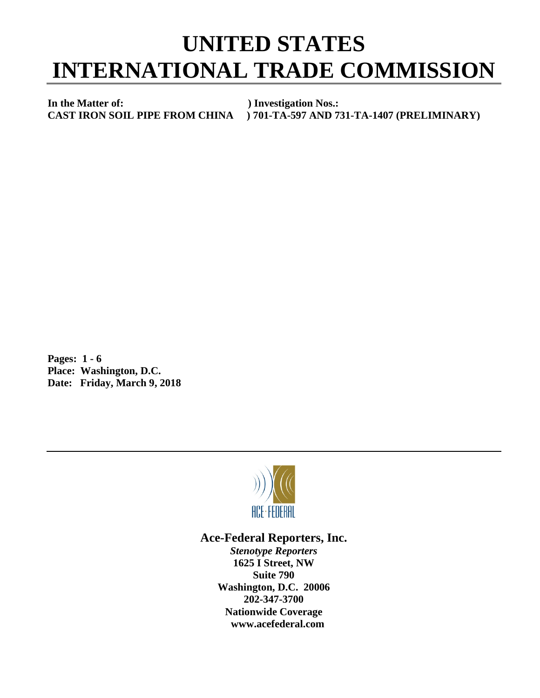## **UNITED STATES INTERNATIONAL TRADE COMMISSION**

**In the Matter of:** ) Investigation Nos.:<br>CAST IRON SOIL PIPE FROM CHINA ) 701-TA-597 AND 7

**CAST IRON SOIL PIPE FROM CHINA ) 701-TA-597 AND 731-TA-1407 (PRELIMINARY)**

**Pages: 1 - 6 Place: Washington, D.C. Date: Friday, March 9, 2018**



## **Ace-Federal Reporters, Inc.**

*Stenotype Reporters* **1625 I Street, NW Suite 790 Washington, D.C. 20006 202-347-3700 Nationwide Coverage www.acefederal.com**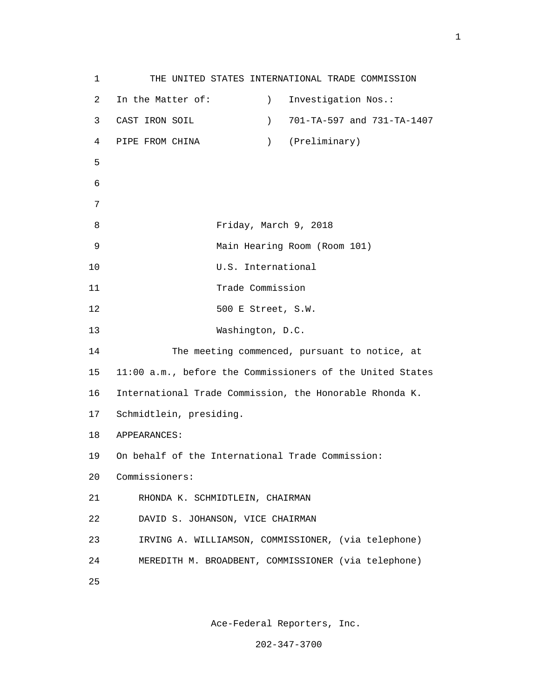1 THE UNITED STATES INTERNATIONAL TRADE COMMISSION 2 In the Matter of: (2008) 1nvestigation Nos.: 3 CAST IRON SOIL ) 701-TA-597 and 731-TA-1407 4 PIPE FROM CHINA ) (Preliminary)  $5<sub>5</sub>$  6 7 8 Friday, March 9, 2018 9 Main Hearing Room (Room 101) 10 U.S. International 11 Trade Commission 12 500 E Street, S.W. 13 Washington, D.C. 14 The meeting commenced, pursuant to notice, at 15 11:00 a.m., before the Commissioners of the United States 16 International Trade Commission, the Honorable Rhonda K. 17 Schmidtlein, presiding. 18 APPEARANCES: 19 On behalf of the International Trade Commission: 20 Commissioners: 21 RHONDA K. SCHMIDTLEIN, CHAIRMAN 22 DAVID S. JOHANSON, VICE CHAIRMAN 23 IRVING A. WILLIAMSON, COMMISSIONER, (via telephone) 24 MEREDITH M. BROADBENT, COMMISSIONER (via telephone) <u>25</u>

Ace-Federal Reporters, Inc.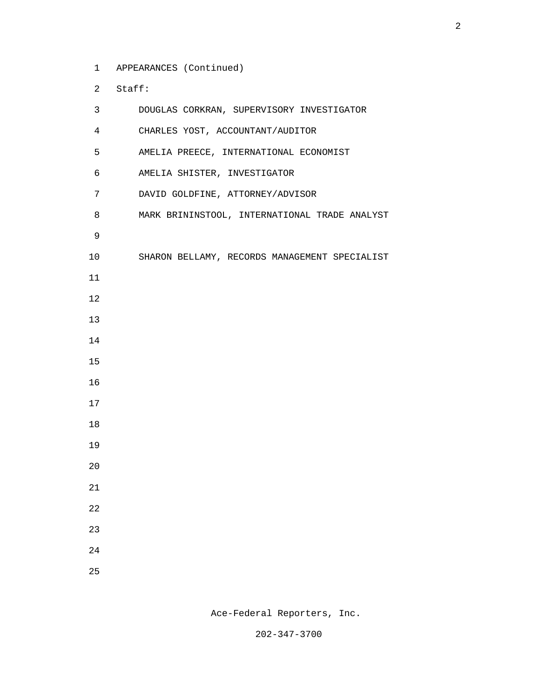- 1 APPEARANCES (Continued)
- 2 Staff:

| 3               | DOUGLAS CORKRAN, SUPERVISORY INVESTIGATOR     |
|-----------------|-----------------------------------------------|
| $\overline{4}$  | CHARLES YOST, ACCOUNTANT/AUDITOR              |
| 5               | AMELIA PREECE, INTERNATIONAL ECONOMIST        |
| 6               | AMELIA SHISTER, INVESTIGATOR                  |
| $7\overline{ }$ | DAVID GOLDFINE, ATTORNEY/ADVISOR              |
| 8               | MARK BRININSTOOL, INTERNATIONAL TRADE ANALYST |
| 9               |                                               |
| 10              | SHARON BELLAMY, RECORDS MANAGEMENT SPECIALIST |
| 11              |                                               |
| 12              |                                               |
| 13              |                                               |
| 14              |                                               |
| 15              |                                               |
| 16              |                                               |
| 17              |                                               |
| 18              |                                               |
| 19              |                                               |
| 20              |                                               |
| 21              |                                               |
| 22              |                                               |
| 23              |                                               |
| 24              |                                               |
| 25              |                                               |

Ace-Federal Reporters, Inc.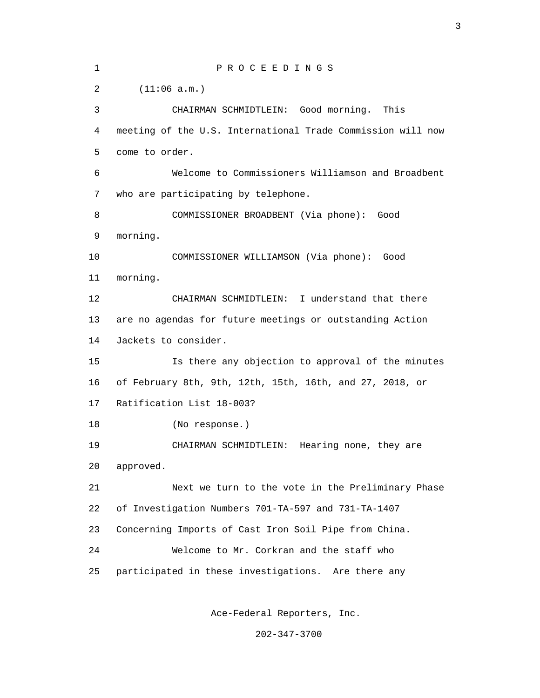| $\mathbf 1$    | PROCEEDINGS                                                 |
|----------------|-------------------------------------------------------------|
| $\overline{a}$ | (11:06 a.m.)                                                |
| 3              | CHAIRMAN SCHMIDTLEIN: Good morning. This                    |
| 4              | meeting of the U.S. International Trade Commission will now |
| 5              | come to order.                                              |
| 6              | Welcome to Commissioners Williamson and Broadbent           |
| 7              | who are participating by telephone.                         |
| 8              | COMMISSIONER BROADBENT (Via phone): Good                    |
| 9              | morning.                                                    |
| 10             | COMMISSIONER WILLIAMSON (Via phone): Good                   |
| 11             | morning.                                                    |
| 12             | CHAIRMAN SCHMIDTLEIN: I understand that there               |
| 13             | are no agendas for future meetings or outstanding Action    |
| 14             | Jackets to consider.                                        |
| 15             | Is there any objection to approval of the minutes           |
| 16             | of February 8th, 9th, 12th, 15th, 16th, and 27, 2018, or    |
| 17             | Ratification List 18-003?                                   |
| 18             | (No response.)                                              |
| 19             | CHAIRMAN SCHMIDTLEIN:<br>Hearing none, they are             |
| 20             | approved.                                                   |
| 21             | Next we turn to the vote in the Preliminary Phase           |
| 22             | of Investigation Numbers 701-TA-597 and 731-TA-1407         |
| 23             | Concerning Imports of Cast Iron Soil Pipe from China.       |
| 24             | Welcome to Mr. Corkran and the staff who                    |
| 25             | participated in these investigations. Are there any         |
|                |                                                             |

Ace-Federal Reporters, Inc.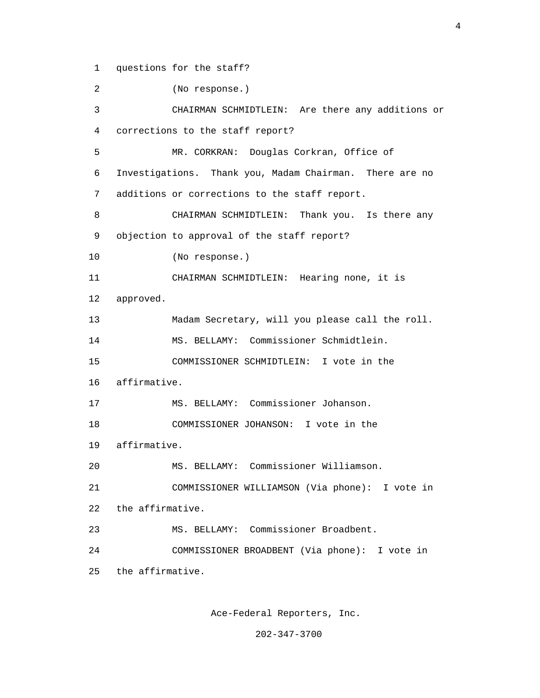1 questions for the staff?

 2 (No response.) 3 CHAIRMAN SCHMIDTLEIN: Are there any additions or 4 corrections to the staff report? 5 MR. CORKRAN: Douglas Corkran, Office of 6 Investigations. Thank you, Madam Chairman. There are no 7 additions or corrections to the staff report. 8 CHAIRMAN SCHMIDTLEIN: Thank you. Is there any 9 objection to approval of the staff report? 10 (No response.) 11 CHAIRMAN SCHMIDTLEIN: Hearing none, it is 12 approved. 13 Madam Secretary, will you please call the roll. 14 MS. BELLAMY: Commissioner Schmidtlein. 15 COMMISSIONER SCHMIDTLEIN: I vote in the 16 affirmative. 17 MS. BELLAMY: Commissioner Johanson. 18 COMMISSIONER JOHANSON: I vote in the 19 affirmative. 20 MS. BELLAMY: Commissioner Williamson. 21 COMMISSIONER WILLIAMSON (Via phone): I vote in 22 the affirmative. 23 MS. BELLAMY: Commissioner Broadbent. 24 COMMISSIONER BROADBENT (Via phone): I vote in 25 the affirmative.

Ace-Federal Reporters, Inc.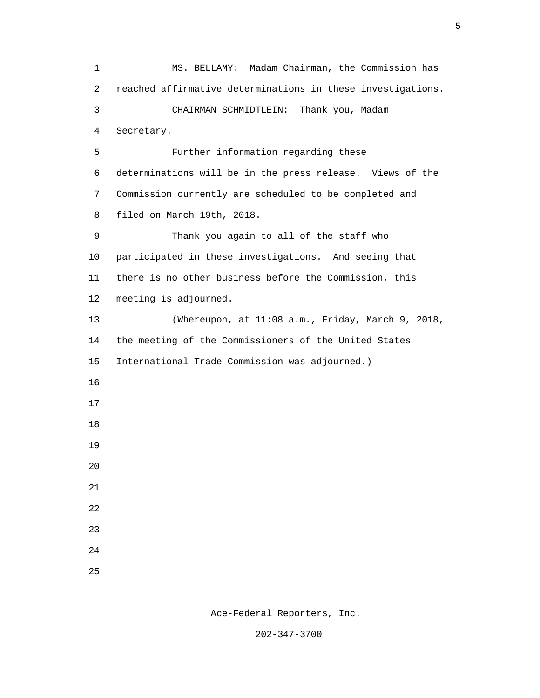1 MS. BELLAMY: Madam Chairman, the Commission has 2 reached affirmative determinations in these investigations. 3 CHAIRMAN SCHMIDTLEIN: Thank you, Madam 4 Secretary. 5 Further information regarding these 6 determinations will be in the press release. Views of the 7 Commission currently are scheduled to be completed and 8 filed on March 19th, 2018. 9 Thank you again to all of the staff who 10 participated in these investigations. And seeing that 11 there is no other business before the Commission, this 12 meeting is adjourned. 13 (Whereupon, at 11:08 a.m., Friday, March 9, 2018, 14 the meeting of the Commissioners of the United States 15 International Trade Commission was adjourned.) 16 17 18 19 20 21 22 23 24 <u>25</u>

 $\sim$  5

Ace-Federal Reporters, Inc.